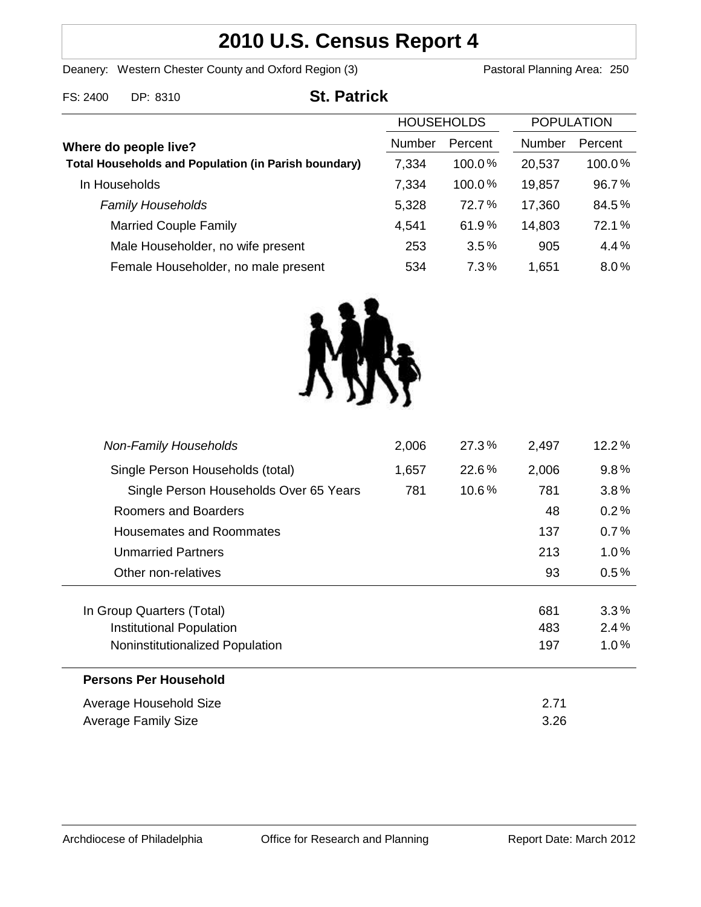# **2010 U.S. Census Report 4**

Deanery: Western Chester County and Oxford Region (3) Pastoral Planning Area: 250

| <b>St. Patrick</b><br>FS: 2400<br>DP: 8310 |
|--------------------------------------------|
|--------------------------------------------|

| <b>HOUSEHOLDS</b>                                           |        | <b>POPULATION</b> |               |         |
|-------------------------------------------------------------|--------|-------------------|---------------|---------|
| Where do people live?                                       | Number | Percent           | <b>Number</b> | Percent |
| <b>Total Households and Population (in Parish boundary)</b> | 7,334  | $100.0\%$         | 20,537        | 100.0%  |
| In Households                                               | 7,334  | 100.0%            | 19,857        | 96.7%   |
| <b>Family Households</b>                                    | 5,328  | 72.7%             | 17,360        | 84.5%   |
| <b>Married Couple Family</b>                                | 4,541  | 61.9%             | 14,803        | 72.1%   |
| Male Householder, no wife present                           | 253    | 3.5%              | 905           | 4.4%    |
| Female Householder, no male present                         | 534    | 7.3%              | 1,651         | $8.0\%$ |



| Single Person Households (total)<br>22.6%<br>2,006<br>1,657<br>10.6%<br>781<br>Single Person Households Over 65 Years<br>781<br>Roomers and Boarders<br>48<br>137<br>Housemates and Roommates<br>213<br><b>Unmarried Partners</b><br>93<br>Other non-relatives<br>In Group Quarters (Total)<br>681<br>Institutional Population<br>483<br>Noninstitutionalized Population<br>197<br><b>Persons Per Household</b><br>Average Household Size<br>2.71<br>3.26<br>Average Family Size | $12.2\%$ |  |
|----------------------------------------------------------------------------------------------------------------------------------------------------------------------------------------------------------------------------------------------------------------------------------------------------------------------------------------------------------------------------------------------------------------------------------------------------------------------------------|----------|--|
|                                                                                                                                                                                                                                                                                                                                                                                                                                                                                  | 9.8%     |  |
|                                                                                                                                                                                                                                                                                                                                                                                                                                                                                  | $3.8\%$  |  |
|                                                                                                                                                                                                                                                                                                                                                                                                                                                                                  | 0.2%     |  |
|                                                                                                                                                                                                                                                                                                                                                                                                                                                                                  | $0.7\%$  |  |
|                                                                                                                                                                                                                                                                                                                                                                                                                                                                                  | $1.0\%$  |  |
|                                                                                                                                                                                                                                                                                                                                                                                                                                                                                  | $0.5\%$  |  |
|                                                                                                                                                                                                                                                                                                                                                                                                                                                                                  |          |  |
|                                                                                                                                                                                                                                                                                                                                                                                                                                                                                  | 3.3%     |  |
|                                                                                                                                                                                                                                                                                                                                                                                                                                                                                  | 2.4%     |  |
|                                                                                                                                                                                                                                                                                                                                                                                                                                                                                  | $1.0\%$  |  |
|                                                                                                                                                                                                                                                                                                                                                                                                                                                                                  |          |  |
|                                                                                                                                                                                                                                                                                                                                                                                                                                                                                  |          |  |
|                                                                                                                                                                                                                                                                                                                                                                                                                                                                                  |          |  |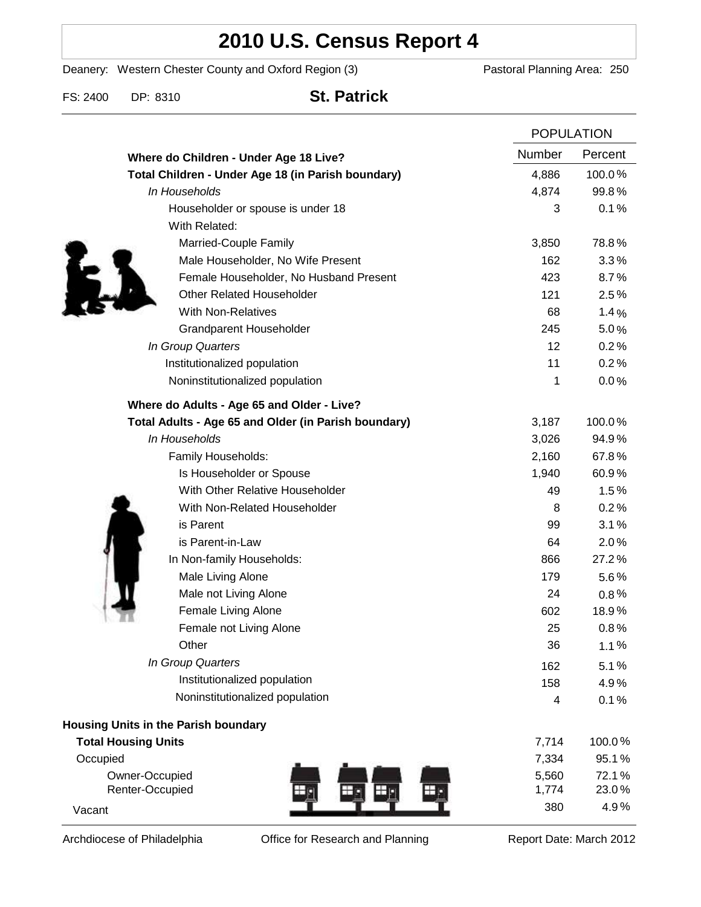## **2010 U.S. Census Report 4**

Deanery: Western Chester County and Oxford Region (3) Pastoral Planning Area: 250

FS: 2400 DP: 8310 **St. Patrick**

|                                                      |        | <b>POPULATION</b> |  |
|------------------------------------------------------|--------|-------------------|--|
| Where do Children - Under Age 18 Live?               | Number | Percent           |  |
| Total Children - Under Age 18 (in Parish boundary)   | 4,886  | 100.0%            |  |
| In Households                                        | 4,874  | 99.8%             |  |
| Householder or spouse is under 18                    | 3      | 0.1%              |  |
| With Related:                                        |        |                   |  |
| Married-Couple Family                                | 3,850  | 78.8%             |  |
| Male Householder, No Wife Present                    | 162    | 3.3%              |  |
| Female Householder, No Husband Present               | 423    | 8.7%              |  |
| <b>Other Related Householder</b>                     | 121    | 2.5%              |  |
| <b>With Non-Relatives</b>                            | 68     | 1.4%              |  |
| Grandparent Householder                              | 245    | 5.0%              |  |
| In Group Quarters                                    | 12     | 0.2%              |  |
| Institutionalized population                         | 11     | 0.2%              |  |
| Noninstitutionalized population                      | 1      | 0.0%              |  |
| Where do Adults - Age 65 and Older - Live?           |        |                   |  |
| Total Adults - Age 65 and Older (in Parish boundary) | 3,187  | 100.0%            |  |
| In Households                                        | 3,026  | 94.9%             |  |
| Family Households:                                   | 2,160  | 67.8%             |  |
| Is Householder or Spouse                             | 1,940  | 60.9%             |  |
| With Other Relative Householder                      | 49     | 1.5%              |  |
| With Non-Related Householder                         | 8      | 0.2%              |  |
| is Parent                                            | 99     | 3.1%              |  |
| is Parent-in-Law                                     | 64     | 2.0%              |  |
| In Non-family Households:                            | 866    | 27.2%             |  |
| Male Living Alone                                    | 179    | $5.6\%$           |  |
| Male not Living Alone                                | 24     | $0.8\%$           |  |
| Female Living Alone                                  | 602    | 18.9%             |  |
| Female not Living Alone                              | 25     | 0.8%              |  |
| Other                                                | 36     | 1.1%              |  |
| In Group Quarters                                    | 162    | 5.1%              |  |
| Institutionalized population                         | 158    | 4.9%              |  |
| Noninstitutionalized population                      | 4      | 0.1%              |  |
| Housing Units in the Parish boundary                 |        |                   |  |
| <b>Total Housing Units</b>                           | 7,714  | 100.0%            |  |
| Occupied                                             | 7,334  | 95.1%             |  |
| Owner-Occupied                                       | 5,560  | 72.1%             |  |
| Renter-Occupied                                      | 1,774  | 23.0%             |  |
| Vacant                                               | 380    | 4.9%              |  |

Archdiocese of Philadelphia **Office for Research and Planning** Report Date: March 2012